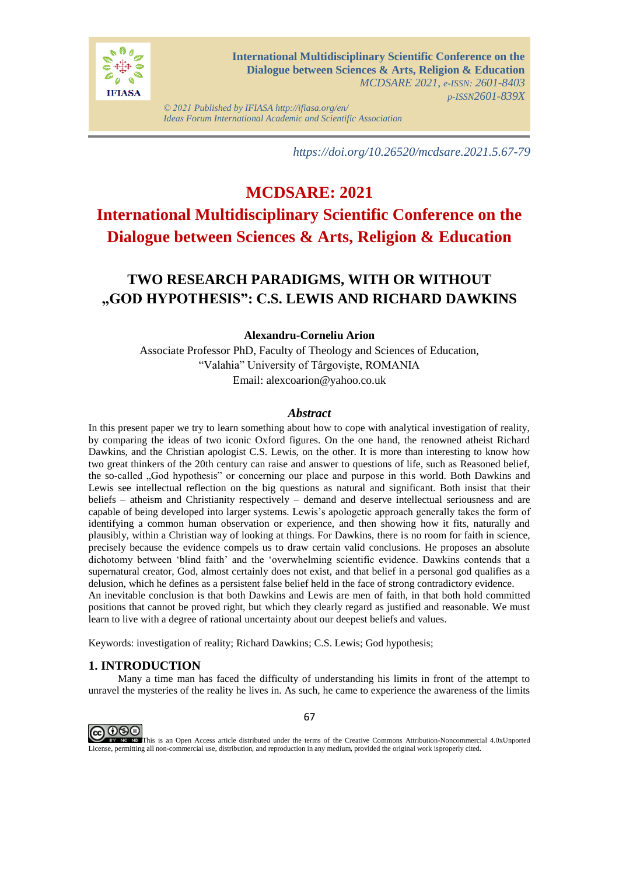

*© 2021 Published by IFIASA http://ifiasa.org/en/ Ideas Forum International Academic and Scientific Association*

*https://doi.org/10.26520/mcdsare.2021.5.67-79*

# **MCDSARE: 2021**

## **International Multidisciplinary Scientific Conference on the Dialogue between Sciences & Arts, Religion & Education**

## **TWO RESEARCH PARADIGMS, WITH OR WITHOUT "GOD HYPOTHESIS": C.S. LEWIS AND RICHARD DAWKINS**

## **Alexandru-Corneliu Arion**

Associate Professor PhD, Faculty of Theology and Sciences of Education, "Valahia" University of Târgovişte, ROMANIA Email: alexcoarion@yahoo.co.uk

## *Abstract*

In this present paper we try to learn something about how to cope with analytical investigation of reality, by comparing the ideas of two iconic Oxford figures. On the one hand, the renowned atheist Richard Dawkins, and the Christian apologist C.S. Lewis, on the other. It is more than interesting to know how two great thinkers of the 20th century can raise and answer to questions of life, such as Reasoned belief, the so-called "God hypothesis" or concerning our place and purpose in this world. Both Dawkins and Lewis see intellectual reflection on the big questions as natural and significant. Both insist that their beliefs – atheism and Christianity respectively – demand and deserve intellectual seriousness and are capable of being developed into larger systems. Lewis's apologetic approach generally takes the form of identifying a common human observation or experience, and then showing how it fits, naturally and plausibly, within a Christian way of looking at things. For Dawkins, there is no room for faith in science, precisely because the evidence compels us to draw certain valid conclusions. He proposes an absolute dichotomy between 'blind faith' and the 'overwhelming scientific evidence. Dawkins contends that a supernatural creator, God, almost certainly does not exist, and that belief in a personal god qualifies as a delusion, which he defines as a persistent false belief held in the face of strong contradictory evidence. An inevitable conclusion is that both Dawkins and Lewis are men of faith, in that both hold committed positions that cannot be proved right, but which they clearly regard as justified and reasonable. We must learn to live with a degree of rational uncertainty about our deepest beliefs and values.

Keywords: investigation of reality; Richard Dawkins; C.S. Lewis; God hypothesis;

## **1. INTRODUCTION**

Many a time man has faced the difficulty of understanding his limits in front of the attempt to unravel the mysteries of the reality he lives in. As such, he came to experience the awareness of the limits



67

This is an Open Access article distributed under the terms of the Creative Commons Attribution-Noncommercial 4.0xUnported License, permitting all non-commercial use, distribution, and reproduction in any medium, provided the original work isproperly cited.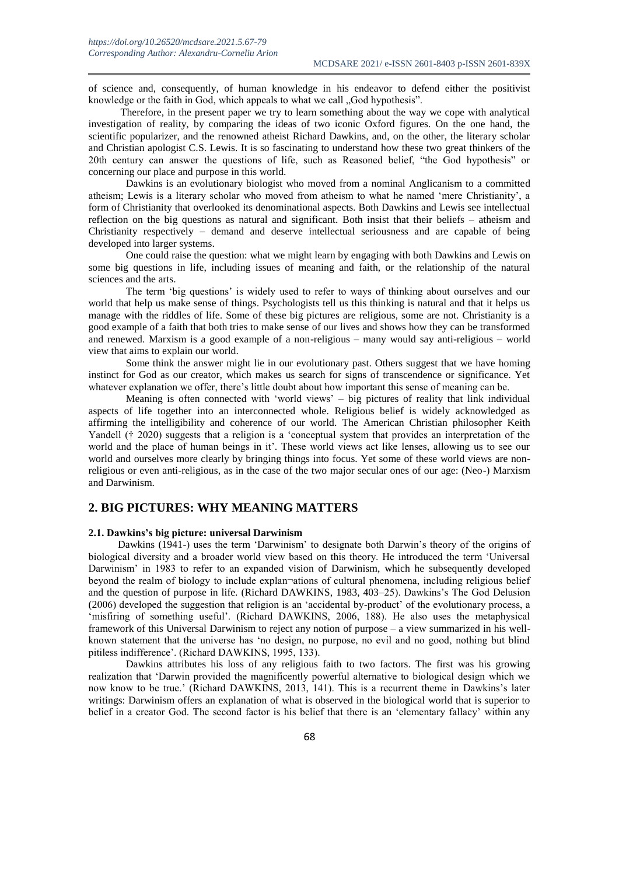of science and, consequently, of human knowledge in his endeavor to defend either the positivist knowledge or the faith in God, which appeals to what we call "God hypothesis".

Therefore, in the present paper we try to learn something about the way we cope with analytical investigation of reality, by comparing the ideas of two iconic Oxford figures. On the one hand, the scientific popularizer, and the renowned atheist Richard Dawkins, and, on the other, the literary scholar and Christian apologist C.S. Lewis. It is so fascinating to understand how these two great thinkers of the 20th century can answer the questions of life, such as Reasoned belief, "the God hypothesis" or concerning our place and purpose in this world.

Dawkins is an evolutionary biologist who moved from a nominal Anglicanism to a committed atheism; Lewis is a literary scholar who moved from atheism to what he named 'mere Christianity', a form of Christianity that overlooked its denominational aspects. Both Dawkins and Lewis see intellectual reflection on the big questions as natural and significant. Both insist that their beliefs – atheism and Christianity respectively – demand and deserve intellectual seriousness and are capable of being developed into larger systems.

One could raise the question: what we might learn by engaging with both Dawkins and Lewis on some big questions in life, including issues of meaning and faith, or the relationship of the natural sciences and the arts.

The term 'big questions' is widely used to refer to ways of thinking about ourselves and our world that help us make sense of things. Psychologists tell us this thinking is natural and that it helps us manage with the riddles of life. Some of these big pictures are religious, some are not. Christianity is a good example of a faith that both tries to make sense of our lives and shows how they can be transformed and renewed. Marxism is a good example of a non-religious – many would say anti-religious – world view that aims to explain our world.

Some think the answer might lie in our evolutionary past. Others suggest that we have homing instinct for God as our creator, which makes us search for signs of transcendence or significance. Yet whatever explanation we offer, there's little doubt about how important this sense of meaning can be.

Meaning is often connected with 'world views' – big pictures of reality that link individual aspects of life together into an interconnected whole. Religious belief is widely acknowledged as affirming the intelligibility and coherence of our world. The American Christian philosopher Keith Yandell († 2020) suggests that a religion is a 'conceptual system that provides an interpretation of the world and the place of human beings in it'. These world views act like lenses, allowing us to see our world and ourselves more clearly by bringing things into focus. Yet some of these world views are nonreligious or even anti-religious, as in the case of the two major secular ones of our age: (Neo-) Marxism and Darwinism.

## **2. BIG PICTURES: WHY MEANING MATTERS**

#### **2.1. Dawkins's big picture: universal Darwinism**

Dawkins (1941-) uses the term 'Darwinism' to designate both Darwin's theory of the origins of biological diversity and a broader world view based on this theory. He introduced the term 'Universal Darwinism' in 1983 to refer to an expanded vision of Darwinism, which he subsequently developed beyond the realm of biology to include explan-ations of cultural phenomena, including religious belief and the question of purpose in life. (Richard DAWKINS, 1983, 403–25). Dawkins's The God Delusion (2006) developed the suggestion that religion is an 'accidental by-product' of the evolutionary process, a 'misfiring of something useful'. (Richard DAWKINS, 2006, 188). He also uses the metaphysical framework of this Universal Darwinism to reject any notion of purpose – a view summarized in his wellknown statement that the universe has 'no design, no purpose, no evil and no good, nothing but blind pitiless indifference'. (Richard DAWKINS, 1995, 133).

Dawkins attributes his loss of any religious faith to two factors. The first was his growing realization that 'Darwin provided the magnificently powerful alternative to biological design which we now know to be true.' (Richard DAWKINS, 2013, 141). This is a recurrent theme in Dawkins's later writings: Darwinism offers an explanation of what is observed in the biological world that is superior to belief in a creator God. The second factor is his belief that there is an 'elementary fallacy' within any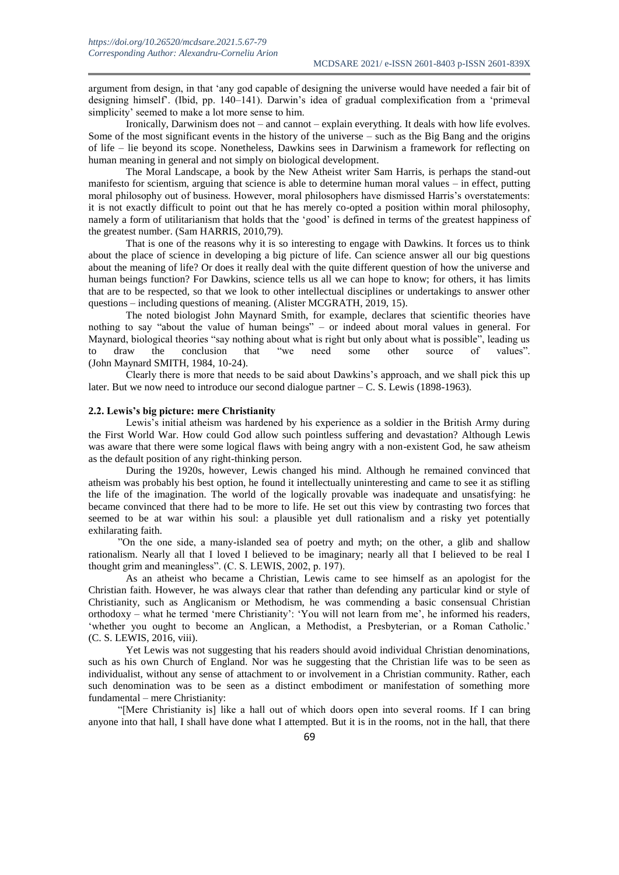argument from design, in that 'any god capable of designing the universe would have needed a fair bit of designing himself'. (Ibid, pp. 140–141). Darwin's idea of gradual complexification from a 'primeval simplicity' seemed to make a lot more sense to him.

Ironically, Darwinism does not – and cannot – explain everything. It deals with how life evolves. Some of the most significant events in the history of the universe – such as the Big Bang and the origins of life – lie beyond its scope. Nonetheless, Dawkins sees in Darwinism a framework for reflecting on human meaning in general and not simply on biological development.

The Moral Landscape, a book by the New Atheist writer Sam Harris, is perhaps the stand-out manifesto for scientism, arguing that science is able to determine human moral values – in effect, putting moral philosophy out of business. However, moral philosophers have dismissed Harris's overstatements: it is not exactly difficult to point out that he has merely co-opted a position within moral philosophy, namely a form of utilitarianism that holds that the 'good' is defined in terms of the greatest happiness of the greatest number. (Sam HARRIS, 2010,79).

That is one of the reasons why it is so interesting to engage with Dawkins. It forces us to think about the place of science in developing a big picture of life. Can science answer all our big questions about the meaning of life? Or does it really deal with the quite different question of how the universe and human beings function? For Dawkins, science tells us all we can hope to know; for others, it has limits that are to be respected, so that we look to other intellectual disciplines or undertakings to answer other questions – including questions of meaning. (Alister MCGRATH, 2019, 15).

The noted biologist John Maynard Smith, for example, declares that scientific theories have nothing to say "about the value of human beings" – or indeed about moral values in general. For Maynard, biological theories "say nothing about what is right but only about what is possible", leading us to draw the conclusion that "we need some other source of values". (John Maynard SMITH, 1984, 10-24).

Clearly there is more that needs to be said about Dawkins's approach, and we shall pick this up later. But we now need to introduce our second dialogue partner – C. S. Lewis (1898-1963).

#### **2.2. Lewis's big picture: mere Christianity**

Lewis's initial atheism was hardened by his experience as a soldier in the British Army during the First World War. How could God allow such pointless suffering and devastation? Although Lewis was aware that there were some logical flaws with being angry with a non-existent God, he saw atheism as the default position of any right-thinking person.

During the 1920s, however, Lewis changed his mind. Although he remained convinced that atheism was probably his best option, he found it intellectually uninteresting and came to see it as stifling the life of the imagination. The world of the logically provable was inadequate and unsatisfying: he became convinced that there had to be more to life. He set out this view by contrasting two forces that seemed to be at war within his soul: a plausible yet dull rationalism and a risky yet potentially exhilarating faith.

"On the one side, a many-islanded sea of poetry and myth; on the other, a glib and shallow rationalism. Nearly all that I loved I believed to be imaginary; nearly all that I believed to be real I thought grim and meaningless". (C. S. LEWIS, 2002, p. 197).

As an atheist who became a Christian, Lewis came to see himself as an apologist for the Christian faith. However, he was always clear that rather than defending any particular kind or style of Christianity, such as Anglicanism or Methodism, he was commending a basic consensual Christian orthodoxy – what he termed 'mere Christianity': 'You will not learn from me', he informed his readers, 'whether you ought to become an Anglican, a Methodist, a Presbyterian, or a Roman Catholic.' (C. S. LEWIS, 2016, viii).

Yet Lewis was not suggesting that his readers should avoid individual Christian denominations, such as his own Church of England. Nor was he suggesting that the Christian life was to be seen as individualist, without any sense of attachment to or involvement in a Christian community. Rather, each such denomination was to be seen as a distinct embodiment or manifestation of something more fundamental – mere Christianity:

"[Mere Christianity is] like a hall out of which doors open into several rooms. If I can bring anyone into that hall, I shall have done what I attempted. But it is in the rooms, not in the hall, that there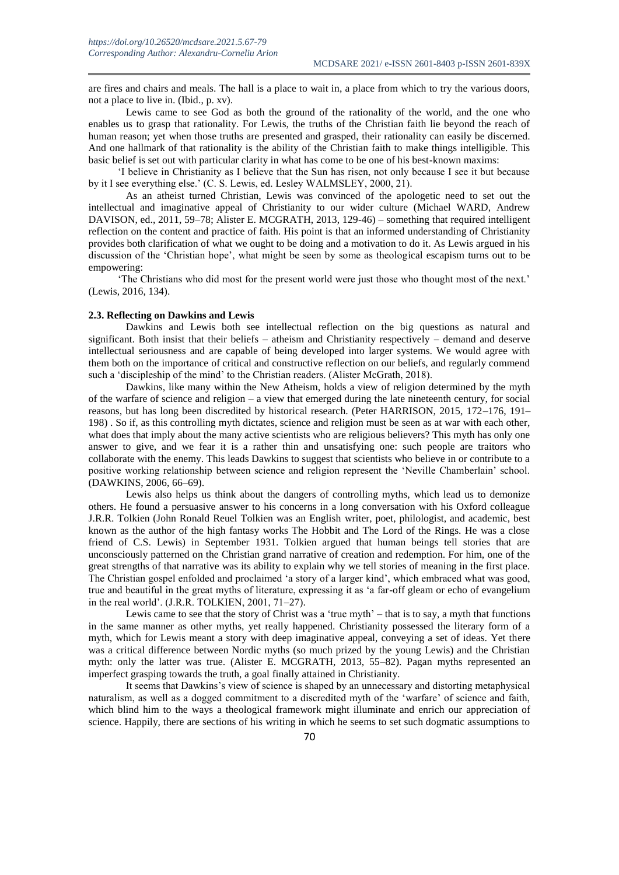are fires and chairs and meals. The hall is a place to wait in, a place from which to try the various doors, not a place to live in. (Ibid., p. xv).

Lewis came to see God as both the ground of the rationality of the world, and the one who enables us to grasp that rationality. For Lewis, the truths of the Christian faith lie beyond the reach of human reason; yet when those truths are presented and grasped, their rationality can easily be discerned. And one hallmark of that rationality is the ability of the Christian faith to make things intelligible. This basic belief is set out with particular clarity in what has come to be one of his best-known maxims:

'I believe in Christianity as I believe that the Sun has risen, not only because I see it but because by it I see everything else.' (C. S. Lewis, ed. Lesley WALMSLEY, 2000, 21).

As an atheist turned Christian, Lewis was convinced of the apologetic need to set out the intellectual and imaginative appeal of Christianity to our wider culture (Michael WARD, Andrew DAVISON, ed., 2011, 59–78; Alister E. MCGRATH, 2013, 129-46) – something that required intelligent reflection on the content and practice of faith. His point is that an informed understanding of Christianity provides both clarification of what we ought to be doing and a motivation to do it. As Lewis argued in his discussion of the 'Christian hope', what might be seen by some as theological escapism turns out to be empowering:

'The Christians who did most for the present world were just those who thought most of the next.' (Lewis, 2016, 134).

#### **2.3. Reflecting on Dawkins and Lewis**

Dawkins and Lewis both see intellectual reflection on the big questions as natural and significant. Both insist that their beliefs – atheism and Christianity respectively – demand and deserve intellectual seriousness and are capable of being developed into larger systems. We would agree with them both on the importance of critical and constructive reflection on our beliefs, and regularly commend such a 'discipleship of the mind' to the Christian readers. (Alister McGrath, 2018).

Dawkins, like many within the New Atheism, holds a view of religion determined by the myth of the warfare of science and religion – a view that emerged during the late nineteenth century, for social reasons, but has long been discredited by historical research. (Peter HARRISON, 2015, 172–176, 191– 198) . So if, as this controlling myth dictates, science and religion must be seen as at war with each other, what does that imply about the many active scientists who are religious believers? This myth has only one answer to give, and we fear it is a rather thin and unsatisfying one: such people are traitors who collaborate with the enemy. This leads Dawkins to suggest that scientists who believe in or contribute to a positive working relationship between science and religion represent the 'Neville Chamberlain' school. (DAWKINS, 2006, 66–69).

Lewis also helps us think about the dangers of controlling myths, which lead us to demonize others. He found a persuasive answer to his concerns in a long conversation with his Oxford colleague J.R.R. Tolkien (John Ronald Reuel Tolkien was an English writer, poet, philologist, and academic, best known as the author of the high fantasy works The Hobbit and The Lord of the Rings. He was a close friend of C.S. Lewis) in September 1931. Tolkien argued that human beings tell stories that are unconsciously patterned on the Christian grand narrative of creation and redemption. For him, one of the great strengths of that narrative was its ability to explain why we tell stories of meaning in the first place. The Christian gospel enfolded and proclaimed 'a story of a larger kind', which embraced what was good, true and beautiful in the great myths of literature, expressing it as 'a far-off gleam or echo of evangelium in the real world'. (J.R.R. TOLKIEN, 2001, 71–27).

Lewis came to see that the story of Christ was a 'true myth' – that is to say, a myth that functions in the same manner as other myths, yet really happened. Christianity possessed the literary form of a myth, which for Lewis meant a story with deep imaginative appeal, conveying a set of ideas. Yet there was a critical difference between Nordic myths (so much prized by the young Lewis) and the Christian myth: only the latter was true. (Alister E. MCGRATH, 2013, 55–82). Pagan myths represented an imperfect grasping towards the truth, a goal finally attained in Christianity.

It seems that Dawkins's view of science is shaped by an unnecessary and distorting metaphysical naturalism, as well as a dogged commitment to a discredited myth of the 'warfare' of science and faith, which blind him to the ways a theological framework might illuminate and enrich our appreciation of science. Happily, there are sections of his writing in which he seems to set such dogmatic assumptions to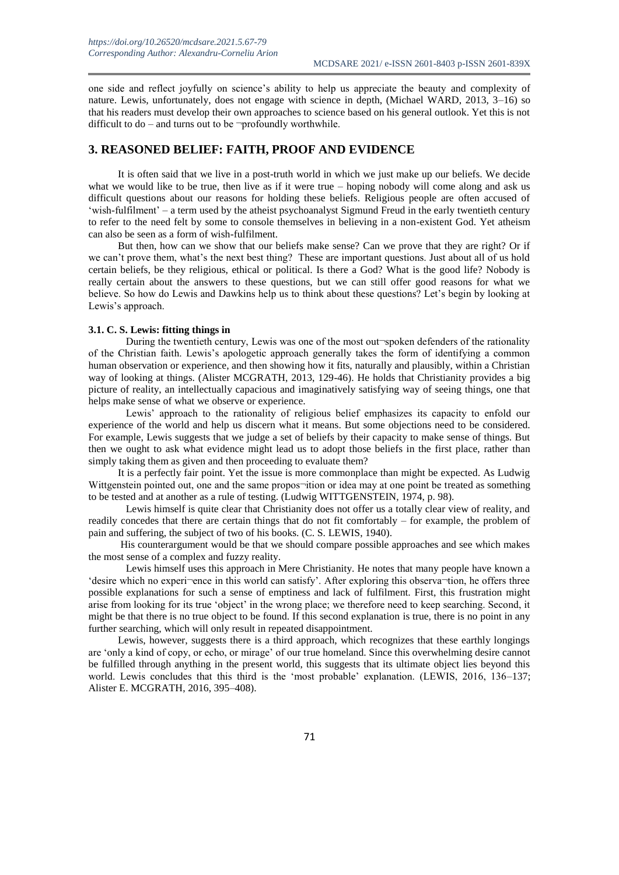one side and reflect joyfully on science's ability to help us appreciate the beauty and complexity of nature. Lewis, unfortunately, does not engage with science in depth, (Michael WARD, 2013, 3–16) so that his readers must develop their own approaches to science based on his general outlook. Yet this is not difficult to  $do$  – and turns out to be  $\neg$ profoundly worthwhile.

### **3. REASONED BELIEF: FAITH, PROOF AND EVIDENCE**

It is often said that we live in a post-truth world in which we just make up our beliefs. We decide what we would like to be true, then live as if it were true – hoping nobody will come along and ask us difficult questions about our reasons for holding these beliefs. Religious people are often accused of 'wish-fulfilment' – a term used by the atheist psychoanalyst Sigmund Freud in the early twentieth century to refer to the need felt by some to console themselves in believing in a non-existent God. Yet atheism can also be seen as a form of wish-fulfilment.

But then, how can we show that our beliefs make sense? Can we prove that they are right? Or if we can't prove them, what's the next best thing? These are important questions. Just about all of us hold certain beliefs, be they religious, ethical or political. Is there a God? What is the good life? Nobody is really certain about the answers to these questions, but we can still offer good reasons for what we believe. So how do Lewis and Dawkins help us to think about these questions? Let's begin by looking at Lewis's approach.

### **3.1. C. S. Lewis: fitting things in**

During the twentieth century, Lewis was one of the most out-spoken defenders of the rationality of the Christian faith. Lewis's apologetic approach generally takes the form of identifying a common human observation or experience, and then showing how it fits, naturally and plausibly, within a Christian way of looking at things. (Alister MCGRATH, 2013, 129-46). He holds that Christianity provides a big picture of reality, an intellectually capacious and imaginatively satisfying way of seeing things, one that helps make sense of what we observe or experience.

Lewis' approach to the rationality of religious belief emphasizes its capacity to enfold our experience of the world and help us discern what it means. But some objections need to be considered. For example, Lewis suggests that we judge a set of beliefs by their capacity to make sense of things. But then we ought to ask what evidence might lead us to adopt those beliefs in the first place, rather than simply taking them as given and then proceeding to evaluate them?

It is a perfectly fair point. Yet the issue is more commonplace than might be expected. As Ludwig Wittgenstein pointed out, one and the same propos-ition or idea may at one point be treated as something to be tested and at another as a rule of testing. (Ludwig WITTGENSTEIN, 1974, p. 98).

Lewis himself is quite clear that Christianity does not offer us a totally clear view of reality, and readily concedes that there are certain things that do not fit comfortably – for example, the problem of pain and suffering, the subject of two of his books. (C. S. LEWIS, 1940).

His counterargument would be that we should compare possible approaches and see which makes the most sense of a complex and fuzzy reality.

Lewis himself uses this approach in Mere Christianity. He notes that many people have known a 'desire which no experi¬ence in this world can satisfy'. After exploring this observa¬tion, he offers three possible explanations for such a sense of emptiness and lack of fulfilment. First, this frustration might arise from looking for its true 'object' in the wrong place; we therefore need to keep searching. Second, it might be that there is no true object to be found. If this second explanation is true, there is no point in any further searching, which will only result in repeated disappointment.

Lewis, however, suggests there is a third approach, which recognizes that these earthly longings are 'only a kind of copy, or echo, or mirage' of our true homeland. Since this overwhelming desire cannot be fulfilled through anything in the present world, this suggests that its ultimate object lies beyond this world. Lewis concludes that this third is the 'most probable' explanation. (LEWIS, 2016, 136–137; Alister E. MCGRATH, 2016, 395–408).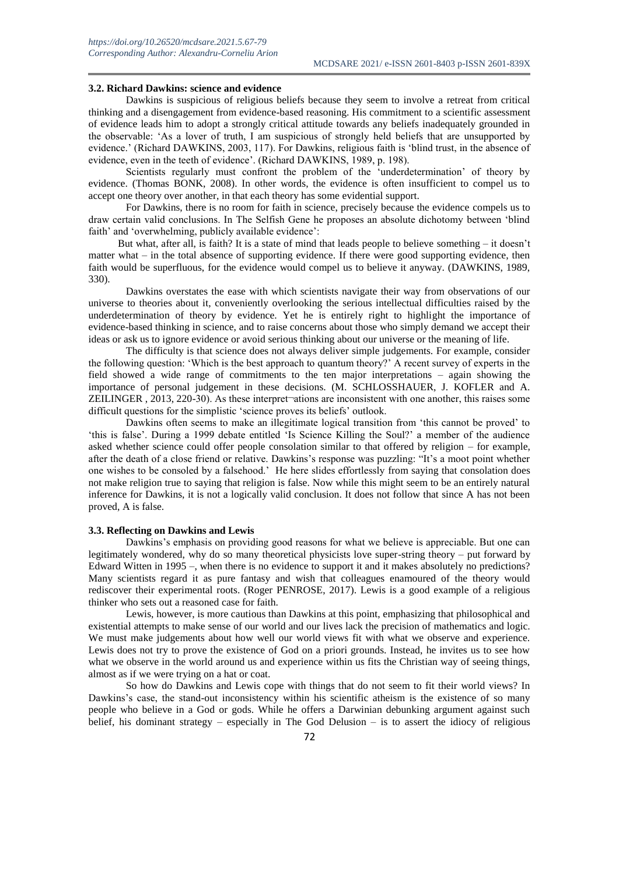#### **3.2. Richard Dawkins: science and evidence**

Dawkins is suspicious of religious beliefs because they seem to involve a retreat from critical thinking and a disengagement from evidence-based reasoning. His commitment to a scientific assessment of evidence leads him to adopt a strongly critical attitude towards any beliefs inadequately grounded in the observable: 'As a lover of truth, I am suspicious of strongly held beliefs that are unsupported by evidence.' (Richard DAWKINS, 2003, 117). For Dawkins, religious faith is 'blind trust, in the absence of evidence, even in the teeth of evidence'. (Richard DAWKINS, 1989, p. 198).

Scientists regularly must confront the problem of the 'underdetermination' of theory by evidence. (Thomas BONK, 2008). In other words, the evidence is often insufficient to compel us to accept one theory over another, in that each theory has some evidential support.

For Dawkins, there is no room for faith in science, precisely because the evidence compels us to draw certain valid conclusions. In The Selfish Gene he proposes an absolute dichotomy between 'blind faith' and 'overwhelming, publicly available evidence':

But what, after all, is faith? It is a state of mind that leads people to believe something – it doesn't matter what – in the total absence of supporting evidence. If there were good supporting evidence, then faith would be superfluous, for the evidence would compel us to believe it anyway. (DAWKINS, 1989, 330).

Dawkins overstates the ease with which scientists navigate their way from observations of our universe to theories about it, conveniently overlooking the serious intellectual difficulties raised by the underdetermination of theory by evidence. Yet he is entirely right to highlight the importance of evidence-based thinking in science, and to raise concerns about those who simply demand we accept their ideas or ask us to ignore evidence or avoid serious thinking about our universe or the meaning of life.

The difficulty is that science does not always deliver simple judgements. For example, consider the following question: 'Which is the best approach to quantum theory?' A recent survey of experts in the field showed a wide range of commitments to the ten major interpretations – again showing the importance of personal judgement in these decisions. (M. SCHLOSSHAUER, J. KOFLER and A. ZEILINGER , 2013, 220-30). As these interpret¬ations are inconsistent with one another, this raises some difficult questions for the simplistic 'science proves its beliefs' outlook.

Dawkins often seems to make an illegitimate logical transition from 'this cannot be proved' to 'this is false'. During a 1999 debate entitled 'Is Science Killing the Soul?' a member of the audience asked whether science could offer people consolation similar to that offered by religion – for example, after the death of a close friend or relative. Dawkins's response was puzzling: "It's a moot point whether one wishes to be consoled by a falsehood.' He here slides effortlessly from saying that consolation does not make religion true to saying that religion is false. Now while this might seem to be an entirely natural inference for Dawkins, it is not a logically valid conclusion. It does not follow that since A has not been proved, A is false.

#### **3.3. Reflecting on Dawkins and Lewis**

Dawkins's emphasis on providing good reasons for what we believe is appreciable. But one can legitimately wondered, why do so many theoretical physicists love super-string theory – put forward by Edward Witten in 1995 –, when there is no evidence to support it and it makes absolutely no predictions? Many scientists regard it as pure fantasy and wish that colleagues enamoured of the theory would rediscover their experimental roots. (Roger PENROSE, 2017). Lewis is a good example of a religious thinker who sets out a reasoned case for faith.

Lewis, however, is more cautious than Dawkins at this point, emphasizing that philosophical and existential attempts to make sense of our world and our lives lack the precision of mathematics and logic. We must make judgements about how well our world views fit with what we observe and experience. Lewis does not try to prove the existence of God on a priori grounds. Instead, he invites us to see how what we observe in the world around us and experience within us fits the Christian way of seeing things, almost as if we were trying on a hat or coat.

So how do Dawkins and Lewis cope with things that do not seem to fit their world views? In Dawkins's case, the stand-out inconsistency within his scientific atheism is the existence of so many people who believe in a God or gods. While he offers a Darwinian debunking argument against such belief, his dominant strategy – especially in The God Delusion – is to assert the idiocy of religious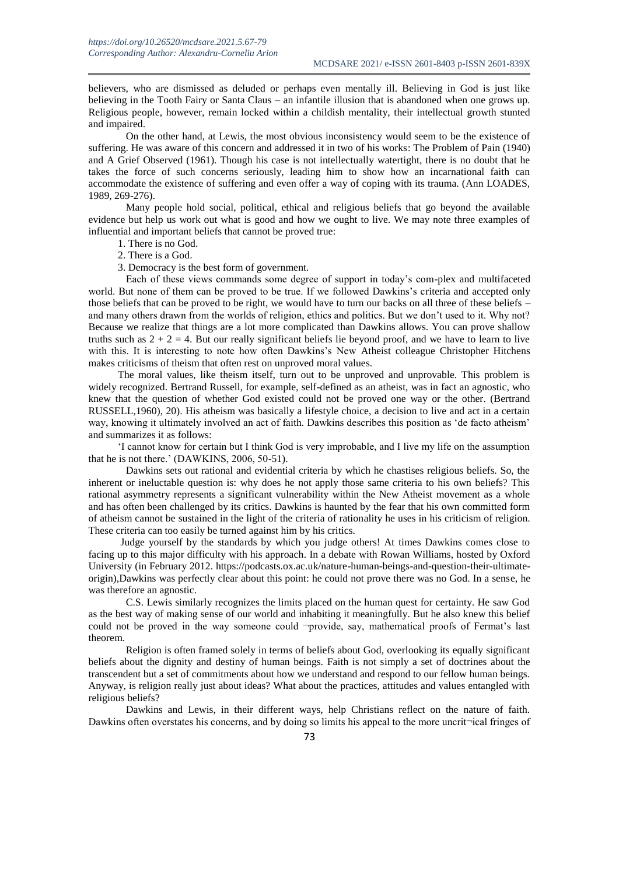believers, who are dismissed as deluded or perhaps even mentally ill. Believing in God is just like believing in the Tooth Fairy or Santa Claus – an infantile illusion that is abandoned when one grows up. Religious people, however, remain locked within a childish mentality, their intellectual growth stunted and impaired.

On the other hand, at Lewis, the most obvious inconsistency would seem to be the existence of suffering. He was aware of this concern and addressed it in two of his works: The Problem of Pain (1940) and A Grief Observed (1961). Though his case is not intellectually watertight, there is no doubt that he takes the force of such concerns seriously, leading him to show how an incarnational faith can accommodate the existence of suffering and even offer a way of coping with its trauma. (Ann LOADES, 1989, 269-276).

Many people hold social, political, ethical and religious beliefs that go beyond the available evidence but help us work out what is good and how we ought to live. We may note three examples of influential and important beliefs that cannot be proved true:

- 1. There is no God.
- 2. There is a God.
- 3. Democracy is the best form of government.

Each of these views commands some degree of support in today's com-plex and multifaceted world. But none of them can be proved to be true. If we followed Dawkins's criteria and accepted only those beliefs that can be proved to be right, we would have to turn our backs on all three of these beliefs – and many others drawn from the worlds of religion, ethics and politics. But we don't used to it. Why not? Because we realize that things are a lot more complicated than Dawkins allows. You can prove shallow truths such as  $2 + 2 = 4$ . But our really significant beliefs lie beyond proof, and we have to learn to live with this. It is interesting to note how often Dawkins's New Atheist colleague Christopher Hitchens makes criticisms of theism that often rest on unproved moral values.

The moral values, like theism itself, turn out to be unproved and unprovable. This problem is widely recognized. Bertrand Russell, for example, self-defined as an atheist, was in fact an agnostic, who knew that the question of whether God existed could not be proved one way or the other. (Bertrand RUSSELL,1960), 20). His atheism was basically a lifestyle choice, a decision to live and act in a certain way, knowing it ultimately involved an act of faith. Dawkins describes this position as 'de facto atheism' and summarizes it as follows:

'I cannot know for certain but I think God is very improbable, and I live my life on the assumption that he is not there.' (DAWKINS, 2006, 50-51).

Dawkins sets out rational and evidential criteria by which he chastises religious beliefs. So, the inherent or ineluctable question is: why does he not apply those same criteria to his own beliefs? This rational asymmetry represents a significant vulnerability within the New Atheist movement as a whole and has often been challenged by its critics. Dawkins is haunted by the fear that his own committed form of atheism cannot be sustained in the light of the criteria of rationality he uses in his criticism of religion. These criteria can too easily be turned against him by his critics.

Judge yourself by the standards by which you judge others! At times Dawkins comes close to facing up to this major difficulty with his approach. In a debate with Rowan Williams, hosted by Oxford University (in February 2012. https://podcasts.ox.ac.uk/nature-human-beings-and-question-their-ultimateorigin),Dawkins was perfectly clear about this point: he could not prove there was no God. In a sense, he was therefore an agnostic.

C.S. Lewis similarly recognizes the limits placed on the human quest for certainty. He saw God as the best way of making sense of our world and inhabiting it meaningfully. But he also knew this belief could not be proved in the way someone could -provide, say, mathematical proofs of Fermat's last theorem.

Religion is often framed solely in terms of beliefs about God, overlooking its equally significant beliefs about the dignity and destiny of human beings. Faith is not simply a set of doctrines about the transcendent but a set of commitments about how we understand and respond to our fellow human beings. Anyway, is religion really just about ideas? What about the practices, attitudes and values entangled with religious beliefs?

Dawkins and Lewis, in their different ways, help Christians reflect on the nature of faith. Dawkins often overstates his concerns, and by doing so limits his appeal to the more uncrit¬ical fringes of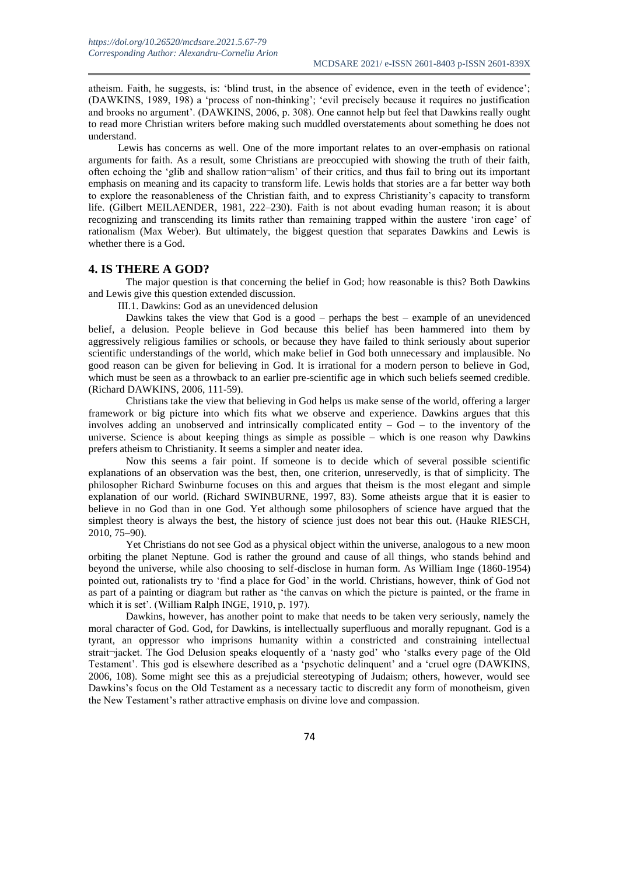atheism. Faith, he suggests, is: 'blind trust, in the absence of evidence, even in the teeth of evidence'; (DAWKINS, 1989, 198) a 'process of non-thinking'; 'evil precisely because it requires no justification and brooks no argument'. (DAWKINS, 2006, p. 308). One cannot help but feel that Dawkins really ought to read more Christian writers before making such muddled overstatements about something he does not understand.

Lewis has concerns as well. One of the more important relates to an over-emphasis on rational arguments for faith. As a result, some Christians are preoccupied with showing the truth of their faith, often echoing the 'glib and shallow ration¬alism' of their critics, and thus fail to bring out its important emphasis on meaning and its capacity to transform life. Lewis holds that stories are a far better way both to explore the reasonableness of the Christian faith, and to express Christianity's capacity to transform life. (Gilbert MEILAENDER, 1981, 222–230). Faith is not about evading human reason; it is about recognizing and transcending its limits rather than remaining trapped within the austere 'iron cage' of rationalism (Max Weber). But ultimately, the biggest question that separates Dawkins and Lewis is whether there is a God.

#### **4. IS THERE A GOD?**

The major question is that concerning the belief in God; how reasonable is this? Both Dawkins and Lewis give this question extended discussion.

III.1. Dawkins: God as an unevidenced delusion

Dawkins takes the view that God is a good – perhaps the best – example of an unevidenced belief, a delusion. People believe in God because this belief has been hammered into them by aggressively religious families or schools, or because they have failed to think seriously about superior scientific understandings of the world, which make belief in God both unnecessary and implausible. No good reason can be given for believing in God. It is irrational for a modern person to believe in God, which must be seen as a throwback to an earlier pre-scientific age in which such beliefs seemed credible. (Richard DAWKINS, 2006, 111-59).

Christians take the view that believing in God helps us make sense of the world, offering a larger framework or big picture into which fits what we observe and experience. Dawkins argues that this involves adding an unobserved and intrinsically complicated entity – God – to the inventory of the universe. Science is about keeping things as simple as possible – which is one reason why Dawkins prefers atheism to Christianity. It seems a simpler and neater idea.

Now this seems a fair point. If someone is to decide which of several possible scientific explanations of an observation was the best, then, one criterion, unreservedly, is that of simplicity. The philosopher Richard Swinburne focuses on this and argues that theism is the most elegant and simple explanation of our world. (Richard SWINBURNE, 1997, 83). Some atheists argue that it is easier to believe in no God than in one God. Yet although some philosophers of science have argued that the simplest theory is always the best, the history of science just does not bear this out. (Hauke RIESCH, 2010, 75–90).

Yet Christians do not see God as a physical object within the universe, analogous to a new moon orbiting the planet Neptune. God is rather the ground and cause of all things, who stands behind and beyond the universe, while also choosing to self-disclose in human form. As William Inge (1860-1954) pointed out, rationalists try to 'find a place for God' in the world. Christians, however, think of God not as part of a painting or diagram but rather as 'the canvas on which the picture is painted, or the frame in which it is set'. (William Ralph INGE, 1910, p. 197).

Dawkins, however, has another point to make that needs to be taken very seriously, namely the moral character of God. God, for Dawkins, is intellectually superfluous and morally repugnant. God is a tyrant, an oppressor who imprisons humanity within a constricted and constraining intellectual strait¬jacket. The God Delusion speaks eloquently of a 'nasty god' who 'stalks every page of the Old Testament'. This god is elsewhere described as a 'psychotic delinquent' and a 'cruel ogre (DAWKINS, 2006, 108). Some might see this as a prejudicial stereotyping of Judaism; others, however, would see Dawkins's focus on the Old Testament as a necessary tactic to discredit any form of monotheism, given the New Testament's rather attractive emphasis on divine love and compassion.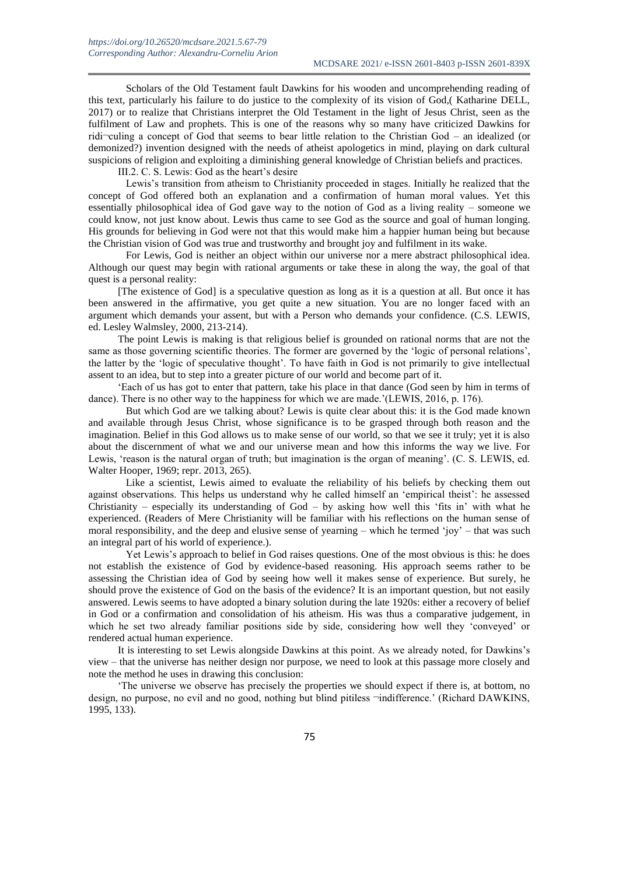Scholars of the Old Testament fault Dawkins for his wooden and uncomprehending reading of this text, particularly his failure to do justice to the complexity of its vision of God,( Katharine DELL, 2017) or to realize that Christians interpret the Old Testament in the light of Jesus Christ, seen as the fulfilment of Law and prophets. This is one of the reasons why so many have criticized Dawkins for ridi¬culing a concept of God that seems to bear little relation to the Christian God – an idealized (or demonized?) invention designed with the needs of atheist apologetics in mind, playing on dark cultural suspicions of religion and exploiting a diminishing general knowledge of Christian beliefs and practices.

III.2. C. S. Lewis: God as the heart's desire

Lewis's transition from atheism to Christianity proceeded in stages. Initially he realized that the concept of God offered both an explanation and a confirmation of human moral values. Yet this essentially philosophical idea of God gave way to the notion of God as a living reality – someone we could know, not just know about. Lewis thus came to see God as the source and goal of human longing. His grounds for believing in God were not that this would make him a happier human being but because the Christian vision of God was true and trustworthy and brought joy and fulfilment in its wake.

For Lewis, God is neither an object within our universe nor a mere abstract philosophical idea. Although our quest may begin with rational arguments or take these in along the way, the goal of that quest is a personal reality:

[The existence of God] is a speculative question as long as it is a question at all. But once it has been answered in the affirmative, you get quite a new situation. You are no longer faced with an argument which demands your assent, but with a Person who demands your confidence. (C.S. LEWIS, ed. Lesley Walmsley, 2000, 213-214).

The point Lewis is making is that religious belief is grounded on rational norms that are not the same as those governing scientific theories. The former are governed by the 'logic of personal relations', the latter by the 'logic of speculative thought'. To have faith in God is not primarily to give intellectual assent to an idea, but to step into a greater picture of our world and become part of it.

'Each of us has got to enter that pattern, take his place in that dance (God seen by him in terms of dance). There is no other way to the happiness for which we are made.'(LEWIS, 2016, p. 176).

But which God are we talking about? Lewis is quite clear about this: it is the God made known and available through Jesus Christ, whose significance is to be grasped through both reason and the imagination. Belief in this God allows us to make sense of our world, so that we see it truly; yet it is also about the discernment of what we and our universe mean and how this informs the way we live. For Lewis, 'reason is the natural organ of truth; but imagination is the organ of meaning'. (C. S. LEWIS, ed. Walter Hooper, 1969; repr. 2013, 265).

Like a scientist, Lewis aimed to evaluate the reliability of his beliefs by checking them out against observations. This helps us understand why he called himself an 'empirical theist': he assessed Christianity – especially its understanding of  $God - by$  asking how well this 'fits in' with what he experienced. (Readers of Mere Christianity will be familiar with his reflections on the human sense of moral responsibility, and the deep and elusive sense of yearning – which he termed 'joy' – that was such an integral part of his world of experience.).

Yet Lewis's approach to belief in God raises questions. One of the most obvious is this: he does not establish the existence of God by evidence-based reasoning. His approach seems rather to be assessing the Christian idea of God by seeing how well it makes sense of experience. But surely, he should prove the existence of God on the basis of the evidence? It is an important question, but not easily answered. Lewis seems to have adopted a binary solution during the late 1920s: either a recovery of belief in God or a confirmation and consolidation of his atheism. His was thus a comparative judgement, in which he set two already familiar positions side by side, considering how well they 'conveyed' or rendered actual human experience.

It is interesting to set Lewis alongside Dawkins at this point. As we already noted, for Dawkins's view – that the universe has neither design nor purpose, we need to look at this passage more closely and note the method he uses in drawing this conclusion:

'The universe we observe has precisely the properties we should expect if there is, at bottom, no design, no purpose, no evil and no good, nothing but blind pitiless ¬indifference.' (Richard DAWKINS, 1995, 133).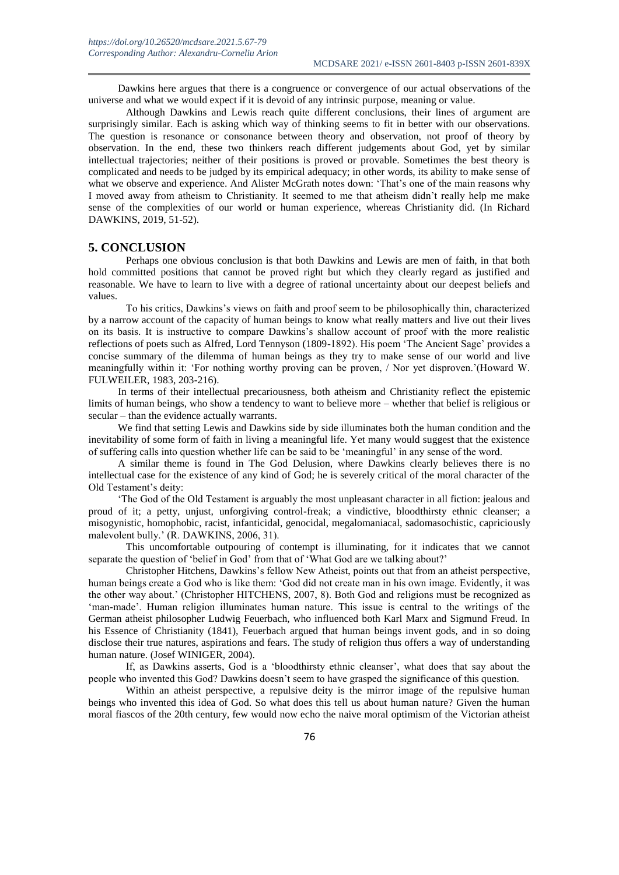Dawkins here argues that there is a congruence or convergence of our actual observations of the universe and what we would expect if it is devoid of any intrinsic purpose, meaning or value.

Although Dawkins and Lewis reach quite different conclusions, their lines of argument are surprisingly similar. Each is asking which way of thinking seems to fit in better with our observations. The question is resonance or consonance between theory and observation, not proof of theory by observation. In the end, these two thinkers reach different judgements about God, yet by similar intellectual trajectories; neither of their positions is proved or provable. Sometimes the best theory is complicated and needs to be judged by its empirical adequacy; in other words, its ability to make sense of what we observe and experience. And Alister McGrath notes down: 'That's one of the main reasons why I moved away from atheism to Christianity. It seemed to me that atheism didn't really help me make sense of the complexities of our world or human experience, whereas Christianity did. (In Richard DAWKINS, 2019, 51-52).

#### **5. CONCLUSION**

Perhaps one obvious conclusion is that both Dawkins and Lewis are men of faith, in that both hold committed positions that cannot be proved right but which they clearly regard as justified and reasonable. We have to learn to live with a degree of rational uncertainty about our deepest beliefs and values.

To his critics, Dawkins's views on faith and proof seem to be philosophically thin, characterized by a narrow account of the capacity of human beings to know what really matters and live out their lives on its basis. It is instructive to compare Dawkins's shallow account of proof with the more realistic reflections of poets such as Alfred, Lord Tennyson (1809-1892). His poem 'The Ancient Sage' provides a concise summary of the dilemma of human beings as they try to make sense of our world and live meaningfully within it: 'For nothing worthy proving can be proven, / Nor yet disproven.'(Howard W. FULWEILER, 1983, 203-216).

In terms of their intellectual precariousness, both atheism and Christianity reflect the epistemic limits of human beings, who show a tendency to want to believe more – whether that belief is religious or secular – than the evidence actually warrants.

We find that setting Lewis and Dawkins side by side illuminates both the human condition and the inevitability of some form of faith in living a meaningful life. Yet many would suggest that the existence of suffering calls into question whether life can be said to be 'meaningful' in any sense of the word.

A similar theme is found in The God Delusion, where Dawkins clearly believes there is no intellectual case for the existence of any kind of God; he is severely critical of the moral character of the Old Testament's deity:

'The God of the Old Testament is arguably the most unpleasant character in all fiction: jealous and proud of it; a petty, unjust, unforgiving control-freak; a vindictive, bloodthirsty ethnic cleanser; a misogynistic, homophobic, racist, infanticidal, genocidal, megalomaniacal, sadomasochistic, capriciously malevolent bully.' (R. DAWKINS, 2006, 31).

This uncomfortable outpouring of contempt is illuminating, for it indicates that we cannot separate the question of 'belief in God' from that of 'What God are we talking about?'

Christopher Hitchens, Dawkins's fellow New Atheist, points out that from an atheist perspective, human beings create a God who is like them: 'God did not create man in his own image. Evidently, it was the other way about.' (Christopher HITCHENS, 2007, 8). Both God and religions must be recognized as 'man-made'. Human religion illuminates human nature. This issue is central to the writings of the German atheist philosopher Ludwig Feuerbach, who influenced both Karl Marx and Sigmund Freud. In his Essence of Christianity (1841), Feuerbach argued that human beings invent gods, and in so doing disclose their true natures, aspirations and fears. The study of religion thus offers a way of understanding human nature. (Josef WINIGER, 2004).

If, as Dawkins asserts, God is a 'bloodthirsty ethnic cleanser', what does that say about the people who invented this God? Dawkins doesn't seem to have grasped the significance of this question.

Within an atheist perspective, a repulsive deity is the mirror image of the repulsive human beings who invented this idea of God. So what does this tell us about human nature? Given the human moral fiascos of the 20th century, few would now echo the naive moral optimism of the Victorian atheist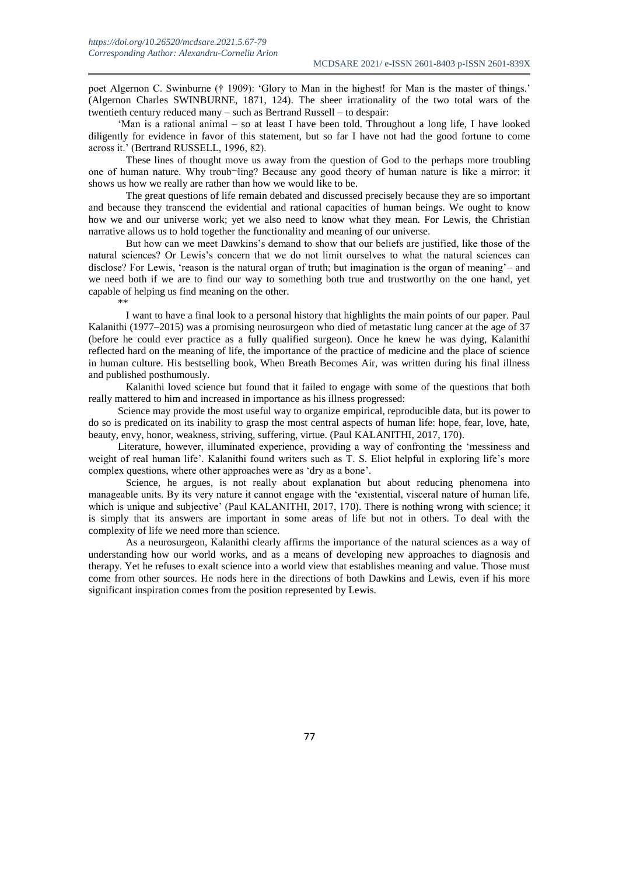poet Algernon C. Swinburne († 1909): 'Glory to Man in the highest! for Man is the master of things.' (Algernon Charles SWINBURNE, 1871, 124). The sheer irrationality of the two total wars of the twentieth century reduced many – such as Bertrand Russell – to despair:

'Man is a rational animal – so at least I have been told. Throughout a long life, I have looked diligently for evidence in favor of this statement, but so far I have not had the good fortune to come across it.' (Bertrand RUSSELL, 1996, 82).

These lines of thought move us away from the question of God to the perhaps more troubling one of human nature. Why troub¬ling? Because any good theory of human nature is like a mirror: it shows us how we really are rather than how we would like to be.

The great questions of life remain debated and discussed precisely because they are so important and because they transcend the evidential and rational capacities of human beings. We ought to know how we and our universe work; yet we also need to know what they mean. For Lewis, the Christian narrative allows us to hold together the functionality and meaning of our universe.

But how can we meet Dawkins's demand to show that our beliefs are justified, like those of the natural sciences? Or Lewis's concern that we do not limit ourselves to what the natural sciences can disclose? For Lewis, 'reason is the natural organ of truth; but imagination is the organ of meaning'- and we need both if we are to find our way to something both true and trustworthy on the one hand, yet capable of helping us find meaning on the other. \*\*

I want to have a final look to a personal history that highlights the main points of our paper. Paul Kalanithi (1977–2015) was a promising neurosurgeon who died of metastatic lung cancer at the age of 37 (before he could ever practice as a fully qualified surgeon). Once he knew he was dying, Kalanithi reflected hard on the meaning of life, the importance of the practice of medicine and the place of science in human culture. His bestselling book, When Breath Becomes Air, was written during his final illness and published posthumously.

Kalanithi loved science but found that it failed to engage with some of the questions that both really mattered to him and increased in importance as his illness progressed:

Science may provide the most useful way to organize empirical, reproducible data, but its power to do so is predicated on its inability to grasp the most central aspects of human life: hope, fear, love, hate, beauty, envy, honor, weakness, striving, suffering, virtue. (Paul KALANITHI, 2017, 170).

Literature, however, illuminated experience, providing a way of confronting the 'messiness and weight of real human life'. Kalanithi found writers such as T. S. Eliot helpful in exploring life's more complex questions, where other approaches were as 'dry as a bone'.

Science, he argues, is not really about explanation but about reducing phenomena into manageable units. By its very nature it cannot engage with the 'existential, visceral nature of human life, which is unique and subjective' (Paul KALANITHI, 2017, 170). There is nothing wrong with science; it is simply that its answers are important in some areas of life but not in others. To deal with the complexity of life we need more than science.

As a neurosurgeon, Kalanithi clearly affirms the importance of the natural sciences as a way of understanding how our world works, and as a means of developing new approaches to diagnosis and therapy. Yet he refuses to exalt science into a world view that establishes meaning and value. Those must come from other sources. He nods here in the directions of both Dawkins and Lewis, even if his more significant inspiration comes from the position represented by Lewis.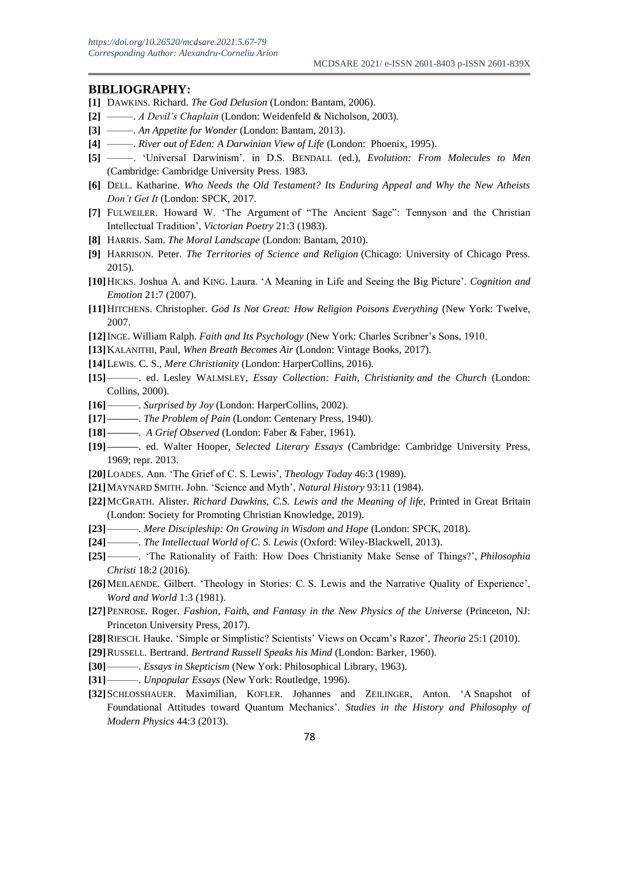#### **BIBLIOGRAPHY:**

- **[1]** DAWKINS. Richard. *The God Delusion* (London: Bantam, 2006).
- **[2]** –––––. *A Devil's Chaplain* (London: Weidenfeld & Nicholson, 2003).
- **[3]** –––––. *An Appetite for Wonder* (London: Bantam, 2013).
- **[4]** –––––. *River out of Eden: A Darwinian View of Life* (London: Phoenix, 1995).
- **[5]** –––––. 'Universal Darwinism'. in D.S. BENDALL (ed.), *Evolution: From Molecules to Men*  (Cambridge: Cambridge University Press. 1983.
- **[6]** DELL. Katharine. *Who Needs the Old Testament? Its Enduring Appeal and Why the New Atheists Don't Get It* (London: SPCK, 2017.
- **[7]** FULWEILER. Howard W. 'The Argument of "The Ancient Sage": Tennyson and the Christian Intellectual Tradition', *Victorian Poetry* 21:3 (1983).
- **[8]** HARRIS. Sam. *The Moral Landscape* (London: Bantam, 2010).
- **[9]** HARRISON. Peter. *The Territories of Science and Religion* (Chicago: University of Chicago Press. 2015).
- **[10]**HICKS. Joshua A. and KING. Laura. 'A Meaning in Life and Seeing the Big Picture'. *Cognition and Emotion* 21:7 (2007).
- **[11]**HITCHENS. Christopher. *God Is Not Great: How Religion Poisons Everything* (New York: Twelve, 2007.
- **[12]**INGE. William Ralph. *Faith and Its Psychology* (New York: Charles Scribner's Sons, 1910.
- **[13]**KALANITHI, Paul, *When Breath Becomes Air* (London: Vintage Books, 2017).
- **[14]**LEWIS. C. S., *Mere Christianity* (London: HarperCollins, 2016).
- **[15]** ––––––. ed. Lesley WALMSLEY, *Essay Collection: Faith, Christianity and the Church* (London: Collins, 2000).
- **[16]** ––––––. *Surprised by Joy* (London: HarperCollins, 2002).
- **[17] ––––––**. *The Problem of Pain* (London: Centenary Press, 1940).
- **[18] ––––––**. *A Grief Observed* (London: Faber & Faber, 1961).
- **[19] ––––––**. ed. Walter Hooper, *Selected Literary Essays* (Cambridge: Cambridge University Press, 1969; repr. 2013.
- **[20]**LOADES. Ann. 'The Grief of C. S. Lewis', *Theology Today* 46:3 (1989).
- **[21]**MAYNARD SMITH. John. 'Science and Myth', *Natural History* 93:11 (1984).
- **[22]**MCGRATH. Alister. *Richard Dawkins, C.S. Lewis and the Meaning of life*, Printed in Great Britain (London: Society for Promoting Christian Knowledge, 2019).
- **[23]** ––––––. *Mere Discipleship: On Growing in Wisdom and Hope* (London: SPCK, 2018).
- [24] –––––. *The Intellectual World of C. S. Lewis* (Oxford: Wiley-Blackwell, 2013).
- **[25]** ––––––. 'The Rationality of Faith: How Does Christianity Make Sense of Things?', *Philosophia Christi* 18:2 (2016).
- **[26]**MEILAENDE. Gilbert. 'Theology in Stories: C. S. Lewis and the Narrative Quality of Experience', *Word and World* 1:3 (1981).
- **[27]**PENROSE. Roger. *Fashion, Faith, and Fantasy in the New Physics of the Universe* (Princeton, NJ: Princeton University Press, 2017).
- **[28]**RIESCH. Hauke. 'Simple or Simplistic? Scientists' Views on Occam's Razor', *Theoria* 25:1 (2010).
- **[29]**RUSSELL. Bertrand. *Bertrand Russell Speaks his Mind* (London: Barker, 1960).
- **[30]** ––––––. *Essays in Skepticism* (New York: Philosophical Library, 1963).
- **[31]** ––––––. *Unpopular Essays* (New York: Routledge, 1996).
- **[32]**SCHLOSSHAUER. Maximilian, KOFLER. Johannes and ZEILINGER, Anton. 'A Snapshot of Foundational Attitudes toward Quantum Mechanics'. *Studies in the History and Philosophy of Modern Physics* 44:3 (2013).